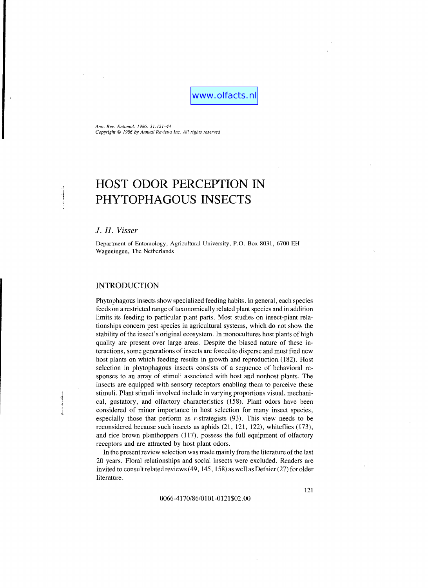www.olfacts.nl

*Ann. Rev. Emomol.* 1986.31:121-44 *Copyright* © 1986 *by Annual Reviews Inc. All rights reserved* 

# **HOST ODOR PERCEPTION IN PHYTOPHAGOUS INSECTS**

*1. H. Visser* 

**The Poor** 

**SECTION** i<br>Voqea Department of Entomology, Agricultural University, P.O. Box 8031, 6700 EH Wageningen, The Netherlands

# INTRODUCTION

Phytophagous insects show specialized feeding habits. In general, each species feeds on a restricted range of taxonomically related plant species and in addition limits its feeding to particular plant parts. Most studies on insect-plant relationships concern pest species in agricultural systems, which do not show the stability of the insect's original ecosystem. In monocultures host plants of high quality are present over large areas. Despite the biased nature of these interactions, some generations of insects are forced to disperse and must find new host plants on which feeding results in growth and reproduction. (182). Host selection in phytophagous insects consists of a sequence of behavioral responses to an array of stimuli associated with host and nonhost plants. The insects are equipped with sensory receptors enabling them to perceive these stimuli. Plant stimuli involved include in varying proportions visual, mechanical, gustatory, and olfactory characteristics (158). Plant odors have been considered of minor importance in host selection for many insect species, especially those that perform as r-strategists (93). This view needs to be reconsidered because such insects as aphids (21, 121, 122), whiteflies (173), and rice brown planthoppers (117), possess the full equipment of olfactory receptors and are attracted by host plant odors.

**In** the present review selection was made mainly from the literature of the last 20 years. Floral relationships and social insects were excluded. Readers are invited to consult related reviews (49, 145, 158) as well as Dethier (27) for older literature.

0066-4170/86/0101-0121\$02.00

121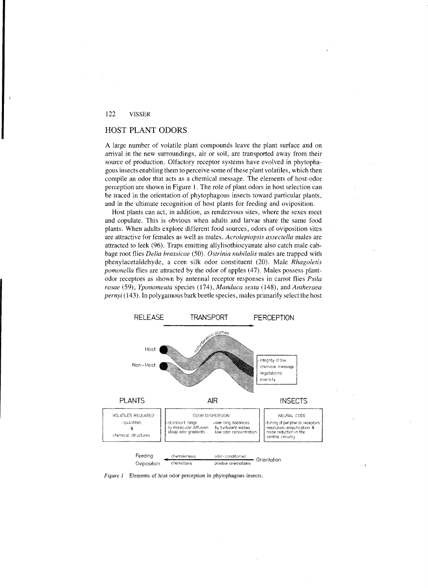# HOST PLANT ODORS

A large number of volatile plant compounds leave the plant surface and on arrival in the new surroundings, air or soil, are transported away from their source of production. Olfactory receptor systems have evolved in phytophagous insects enabling them to perceive some ofthese plant volatiles, which then compile an odor that acts as a chemical message. The elements of host-odor perception are shown in Figure 1. The role of plant odors in host selection can be traced in the orientation of phytophagous insects toward particular plants, and in the ultimate recognition of host plants for feeding and oviposition.

Host plants can act, in addition, as rendezvous sites, where the sexes meet and copulate. This is obvious when adults and larvae share the same food plants. When adults explore different food sources, odors of oviposition sites are attractive for females as well as males. *Acrolepiopsis assectel1a* males are attracted to leek (96). Traps emitting allylisothiocyanate also catch male cabbage root flies *Delia brassicac* (50). *Ostrinia nubilalis* males are trapped with phenyl acetaldehyde, a corn silk odor constituent (20). Male *Rhago/etis pomonella* flies are attracted by the odor of apples (47). Males possess plantodor receptors as shown by antennal receptor responses in carrot flies *Psila rosae* (59), *Yponomeuta species* (174), *Manduca sexta* (148), and *Antheraea pernyi* (143). In polygamous bark beetle species, males primarily select the host



*Figure* 1 Elements of host odor perception in phytophagous insects.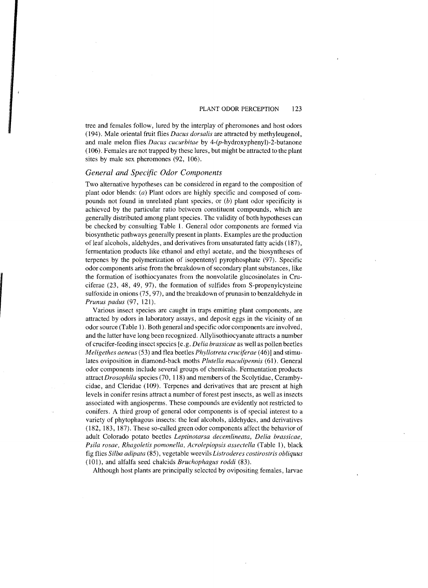tree and females follow, lured by the interplay of pheromones and host odors (194). Male oriental fruit flies *Dacus dorsalis* are attracted by methyleugenol, and male melon flies *Dacus cucurbitae* by 4-(p-hydroxyphenyl)-2-butanone (106). Females are not trapped by these lures, but might be attracted to the plant sites by male sex pheromones (92, 106).

## *General and Specific Odor Components*

Two alternative hypotheses can be considered in regard to the composition of plant odor blends: (a) Plant odors are highly specific and composed of compounds not found in unrelated plant species, or  $(b)$  plant odor specificity is achieved by the particular ratio between constituent compounds, which are generally distributed among plant species. The validity of both hypotheses can be checked by consulting Table 1. General odor components are formed via biosynthetic pathways generally present in plants. Examples are the production of leaf alcohols, aldehydes, and derivatives from unsaturated fatty acids (187), fermentation products like ethanol and ethyl acetate, and the biosyntheses of terpenes by the polymerization of isopentenyl pyrophosphate (97). Specific odor components arise from the breakdown of secondary plant substances, like the formation of isothiocyanates from the nonvolatile glucosinolates in Cruciferae (23, 48, 49, 97), the formation of sulfides from S-propenylcysteine sulfoxide in onions  $(75, 97)$ , and the breakdown of prunasin to benzaldehyde in *Prunus padus* (97, 121).

Various insect species are caught in traps emitting plant components, are attracted by odors in laboratory assays, and deposit eggs in the vicinity of an odor source (Table 1). Both general and specific odor components are involved, and the latter have long been recognized. Allylisothiocyanate attracts a number of crucifer-feeding insect species [e.g. *Delia brassicae* as well as pollen beetles *Meligethes aeneus* (53) and flea beetles *Phyllotreta cruciferae* (46)] and stimulates oviposition in diamond-back moths *Plutella maculipennis* (61). General odor components include several groups of chemicals. Fennentation products attract *Drosophila* species (70, 118) and members of the Scolytidae, Cerambycidae, and Cleridae (109). Terpenes and derivatives that are present at high levels in conifer resins attract a number of forest pest insects, as well as insects associated with angiosperms. These compounds are evidently not restricted to conifers. A third group of general odor components is of special interest to a variety of phytophagous insects: the leaf alcohols, aldehydes, and derivatives (182, 183, 187). These so-called green odor components affect the behavior of adult Colorado potato beetles *Leptinorarsa decemlineata, Delia brassicae, Psila rosae, Rhagoletis pomonella, Acrolepiopsis assectella* (Table 1), black fig flies *Silba adipata* (85), vegetable weevils *Listroderes costirostris ob/iquus*  (101), and alfalfa seed chalcids *Bruchophagus roddi (83).* 

Although host plants are principally selected by ovipositing females, larvae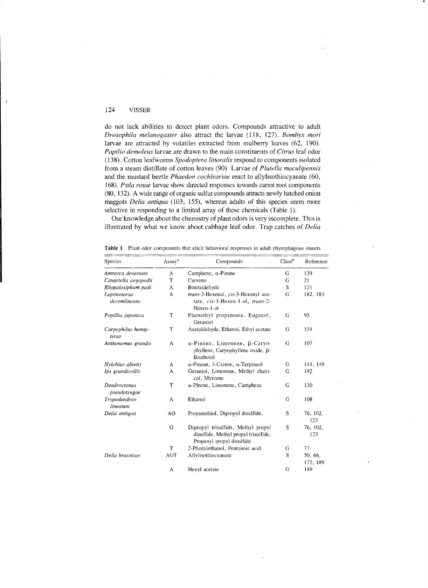do not lack abilities to detect plant odors. Compounds attractive to adult *Drosophila melanogaster* also attract the larvae (118, 127). *Bombyx mori*  larvae are attracted by volatiles extracted from mulberry leaves (62, 190). *Papilio demoleus* larvae are drawn to the main constituents of *Citrus* leaf odor (138). Cotton leafworms *Spodoptera littoralis* respond to components isolated from a steam distillate of cotton leaves (90). Larvae of *Plutella maculipennis*  and the mustard beetle *Phaedon cochleariae* react to allylisothiocyanate (60, *168). Psila rosae* larvae show directed responses towards carrot root components (80, 132). A wide range of organic sulfur compounds attracts newly hatched onion maggots *Delia antiqua* (103, 155), whereas adults of this species seem more selective in responding to a limited array of these chemicals (Table 1).

Our know ledge about the chemistry of plant odors is very incomplete. This is illustrated by what we know about cabbage leaf odor. Trap catches of *Delia* 

| Species                      | Assay <sup>a</sup> | Compounds                                                                                               | Class <sup>b</sup><br>Reference |                     |
|------------------------------|--------------------|---------------------------------------------------------------------------------------------------------|---------------------------------|---------------------|
| Amrasca devastans            | А                  | Camphene, $\alpha$ -Pinene                                                                              | G                               | 139                 |
| Cavariella aegopodii         | T                  | Carvone                                                                                                 | G                               | 21                  |
| Rhopalosiphum padi           | А                  | Benzaldehyde                                                                                            | S                               | 121                 |
| Leptinotarsa<br>decemlineata | Α                  | trans-2-Hexenal, cis-3-Hexenyl ace-<br>tate, cis-3-Hexen-1-ol, trans-2-<br>Hexen-1-ol                   | G                               | 182, 183            |
| Popillia japonica            | T                  | Phenethyl propanoate, Eugenol,<br>Geraniol                                                              | G                               | 95                  |
| Carpophilus hemip-<br>terus  | T                  | Acetaldehyde, Ethanol, Ethyl acetate                                                                    | G                               | 154                 |
| Anthonomus grandis           | A                  | $\alpha$ -Pinene, Limonene, $\beta$ -Caryo-<br>phyllene, Caryophyllene oxide, β-<br>Bisabolol           | G                               | 107                 |
| Hylobius abietis             | Α                  | $\alpha$ -Pinene, 3-Carene, $\alpha$ -Terpineol                                                         | G                               | 114, 149            |
| Ips grandicollis             | A                  | Geraniol, Limonene, Methyl chavi-<br>col, Myrcene                                                       | G                               | 192                 |
| Dendroctonus<br>pseudotsugae | T                  | $\alpha$ -Pinene, Limonene, Camphene                                                                    | G                               | 130                 |
| Trypodendron<br>lineatum     | A                  | Ethanol                                                                                                 | G                               | 108                 |
| Delia antiqua                | AO                 | Propanethiol, Dipropyl disulfide,                                                                       | S                               | 76, 102,<br>123     |
|                              | $\mathbf{O}$       | Dipropyl trisulfide, Methyl propyl<br>disulfide, Methyl propyl trisulfide,<br>Propenyl propyl disulfide | S                               | 76, 102,<br>123     |
|                              | T                  | 2-Phenylethanol, Pentanoic acid                                                                         | G                               | 77                  |
| Delia brassicae              | AOT                | Allylisothiocyanate                                                                                     | S                               | 50, 66,<br>172, 189 |
|                              | A                  | Hexyl acetate                                                                                           | G                               | 189                 |

Table 1 Plant odor components that elicit behavioral responses in adult phytophagous insects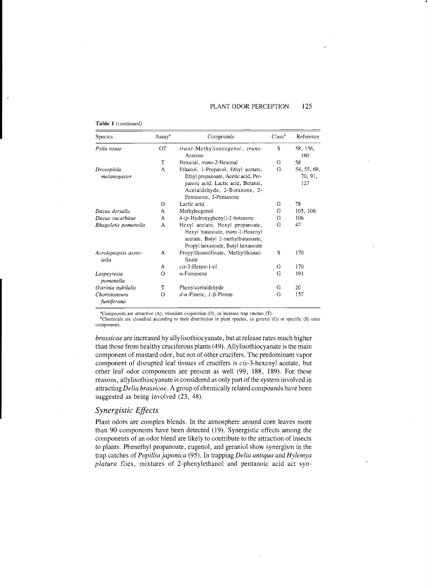## PLANT ODOR PERCEPTION 125

'.

#### Table 1 *(continued)*

| Species                       | Assay <sup>a</sup> | Compounds                                                                                                                                                                  | Class <sup>b</sup> | Reference                     |
|-------------------------------|--------------------|----------------------------------------------------------------------------------------------------------------------------------------------------------------------------|--------------------|-------------------------------|
| Psila rosae                   | ОT                 | trans-Methylisoeugenol, trans-<br>Asarone                                                                                                                                  | S                  | 58, 156,<br>160               |
|                               | T                  | Hexanal, trans-2-Hexenal                                                                                                                                                   | G                  | 58                            |
| Drosophila<br>melanogaster    | A                  | Ethanol, 1-Propanol, Ethyl acetate,<br>Ethyl propanoate, Acetic acid, Pro-<br>panoic acid, Lactic acid, Butanal,<br>Acetaldehyde, 2-Butanone, 2-<br>Pentanone, 3-Pentanone | G                  | 54, 55, 69,<br>70, 91,<br>127 |
|                               | $\circ$            | Lactic acid                                                                                                                                                                | G                  | 78                            |
| Dacus dorsalis                | A                  | Methyleugenol                                                                                                                                                              | G                  | 105, 106                      |
| Dacus cucurbitae              | A                  | 4-(p-Hydroxyphenyl)-2-butanone                                                                                                                                             | G                  | 106                           |
| Rhagoletis pomonella          | A                  | Hexyl acetate, Hexyl propanoate,<br>Hexyl butanoate, trans-2-Hexenyl<br>acetate, Butyl 2-methylbutanoate,<br>Propyl hexanoate, Butyl hexanoate                             | G                  | 47                            |
| Acrolepiopsis assec-<br>tella | A                  | Propylthiosulfinate, Methylthiosul-<br>finate                                                                                                                              | S                  | 170                           |
|                               | A                  | cis-3-Hexen-1-ol                                                                                                                                                           | G                  | 170                           |
| Laspeyresia<br>pomonella      | $\circ$            | $\alpha$ -Farnesene                                                                                                                                                        | G                  | 191                           |
| Ostrinia nubilalis            | T                  | Phenylacetaldehyde                                                                                                                                                         | G                  | 20                            |
| Choristoneura<br>fumiferana   | $\circ$            | $d-\alpha$ -Pinene, $1-\beta$ -Pinene                                                                                                                                      | G                  | 157                           |

"Compounds are attractive (A), stimulate oviposition (0), or increase trap catches (T).

<sup>b</sup>Chemicals are classified according to their distribution in plant species, as general (G) or specific (S) odor components.

*brassicae* are increased by allylisothiocyanate, but at release rates much higher than those from healthy cruciferous plants (49). Allylisothiocyanate is the main component of mustard odor, but not of other crucifers. The predominant vapor component of disrupted leaf tissues of crucifers is cis-3-hexenyl acetate, but other leaf odor components are present as well (99, 188, 189). For these reasons, allylisothiocyanate is considered as only part of the system involved in attracting *Delia brassicae*. A group of chemically related compounds have been suggested as being involved (23, 48).

## *Synergistic Effects*

Plant odors are complex blends. In the atmosphere around corn leaves more than 90 components have been detected (19). Synergistic effects among the components of an odor blend are likely to contribute to the attraction of insects to plants. Phenethyl propanoate, eugenol, and geraniol show synergism in the trap catches of *Popillia japonica* (95). In trapping *Delia antiqua* and *Hylemya platura* flies, mixtures of 2-phenylethanol and pentanoic acid act syn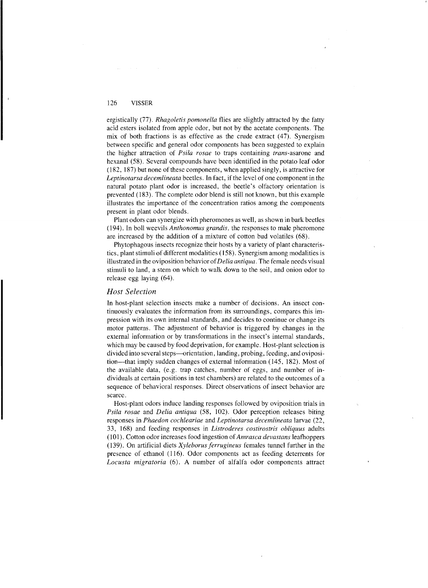ergistically (77). *Rhagoletis pomonella* flies are slightly attracted by the fatty acid esters isolated from apple odor, but not by the acetate components. The mix of both fractions is as effective as the crude extract (47). Synergism between specific and general odor components has been suggested to explain the higher attraction of *Psila rosae* to traps containing *trans-asarone* and hexanal (58). Several compounds have been identified in the potato leaf odor (182, 187) but none of these components, when applied singly, is attractive for *Leptinotarsa decemlineata* beetles. In fact, if the level of one component in the natural potato plant odor is increased, the beetle's olfactory orientation is prevented (183). The complete odor blend is still not known, but this example illustrates the importance of the concentration ratios among the components present in plant odor blends.

Plant odors can synergize with pheromones as well, as shown in bark beetles (194). In boll weevils *Anthonomus grandis,* the responses to male pheromone are increased by the addition of a mixture of cotton bud volatiles (68).

Phytophagous insects recognize their hosts by a variety of plant characteristics, plant stimuli of different modalities (158). Synergism among modalities is illustrated in the oviposition behavior of*Delia antiqua.* The female needs visual stimuli to land, a stem on which to walk down to the soil, and onion odor to release egg laying (64).

## *Host Selection*

In host-plant selection insects make a number of decisions. An insect continuously evaluates the information from its surroundings, compares this impression with its own internal standards, and decides to continue or change its motor patterns. The adjustment of behavior is triggered by changes in the external information or by transformations in the insect's internal standards, which may be caused by food deprivation, for example. Host-plant selection is divided into several steps—orientation, landing, probing, feeding, and oviposition—that imply sudden changes of external information (145, 182). Most of the available data, (e.g. trap catches, number of eggs, and number of individuals at certain positions in test chambers) are related to the outcomes of a sequence of behavioral responses. Direct observations of insect behavior are scarce.

Host-plant odors induce landing responses followed by oviposition trials in *Psila rosae* and *Delia antiqua* (58, 102). Odor perception releascs biting responses in *Phaedon cochleariae* and *Leptinotarsa decemlineata* larvae (22, 33, 168) and feeding responses in *Listroderes costirostris obliquus* adults (101). Cotton odor increases food ingestion of *Amrasca devastans* leafhoppers (139). On artificial diets *Xyleborusferrugineus* females tunncl further in the presence of ethanol (116). Odor components act as fecding deterrents for *Locusta migratoria* (6). A number of alfalfa odor componcnts attract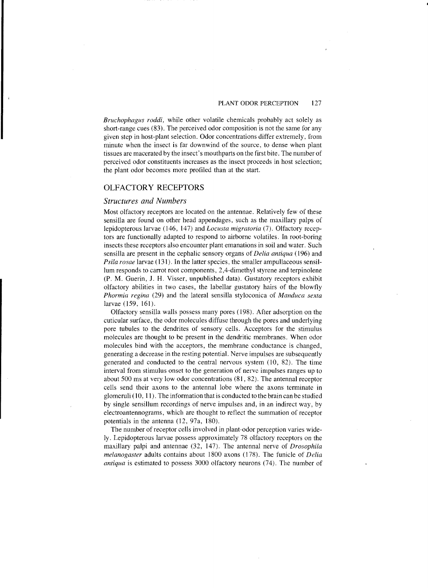*Bruchophagus roddi,* while other volatile chemicals probably act solely as short-range cues (83). The perceived odor composition is not the same for any given step in host-plant selection. Odor concentrations differ extremely, from minute when the insect is far downwind of the source, to dense when plant tissues are macerated by the insect's mouthparts on the first bite. The number of perceived odor constituents increases as the insect proceeds in host selection; the plant odor becomes more profiled than at the start.

## OLFACTORY RECEPTORS

## *Structures and Numbers*

Most olfactory receptors are located on the antennae. Relatively few of these sensilla are found on other head appendages, such as the maxillary palps of lepidopterous larvae (146, 147) and *Locusta migratoria* (7). Olfactory receptors are functionally adapted to respond to airborne volatiles. In root-boring insects these receptors also encounter plant emanations in soil and water. Such sensilla are present in the cephalic sensory organs of *Delia antiqua* (196) and *Psila rosae* larvae (131). In the latter species, the smaller ampullaceous sensillum responds to carrot root components, 2,4-dimethyl styrene and terpinolene (P. M. Guerin, J. H. Visser, unpublished data). Gustatory receptors exhibit olfactory abilities in two cases, the labellar gustatory hairs of the blowfly *Phormia regina* (29) and the lateral sensilla styloconica of *Manduca sexta*  larvae (159, 161).

Olfactory sensilla walls possess many pores (198). After adsorption on the cuticular surface, the odor molecules diffuse through the pores and underlying pore tubules to the dendrites of sensory cells. Acceptors for the stimulus molecules are thought to be present in the dendritic membranes. When odor molecules bind with the acceptors, the membrane conductance is changed, generating a decrease in the resting potential. Nerve impulses are subsequently generated and conducted to the central nervous system (l0, 82). The time interval from stimulus onset to the generation of nerve impulses ranges up to about 500 ms at very low odor concentrations (81, 82). The antennal receptor cells send their axons to the antennal lobe where the axons terminate in glomeruli (10, 11). The information that is conducted to the brain can be studied by single sensillum recordings of nerve impulses and, in an indirect way, by electroantennograms, which are thought to reflect the summation of receptor potentials in the antenna (12, 97a, 180).

The number of receptor cells involved in plant-odor perception varies widely. Lepidopterous larvae possess approximately 78 olfactory receptors on the maxillary palpi and antennae (32, 147). The antennal nerve of *Drosophila melanogaster* adults contains about 1800 axons (178). The funicle of *Delia antiqua* is estimated to possess 3000 olfactory neurons (74). The number of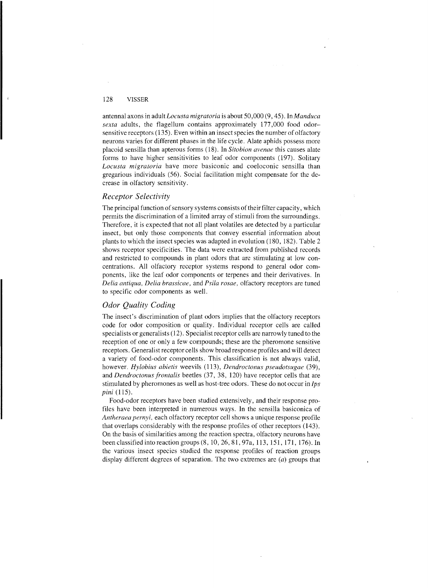antennal axons in adult *LoC'{{sta migratoria* is about *SO,OOO* (9, *4S).* In *Manduca*  sexta adults, the flagellum contains approximately 177,000 food odorsensitive receptors (13S). Even within an insect species the number of olfactory neurons varies for different phases in the life cycle. Alate aphids possess more placoid sensilla than apterous forms (18). In *Sitobion avenae* this causes alate forms to have higher sensitivities to leaf odor components (197). Solitary *Locusta migratoria* have more basiconic and coeloconic sensilla than gregarious individuals (S6). Social facilitation might compensate for the decrease in olfactory sensitivity.

## *Receptor Selectivity*

The principal function of sensory systems consists of their filter capacity, which permits the discrimination of a limited array of stimuli from the surroundings. Therefore, it is expected that not all plant volatiles are detected by a particular insect, but only those components that convey essential information about plants to which the insect species was adapted in evolution (180, 182). Table 2 shows receptor specificities. The data were extracted from published records and restricted to compounds in plant odors that are stimulating at low concentrations. All olfactory receptor systems respond to general odor components, like the leaf odor components or terpenes and their derivatives. In *Delia antiqua, Delia hrassicac,* and *Psila rosa£',* olfactory receptors are tuned to specific odor components as well.

# *Odor Quality Coding*

The insect's discrimination of plant odors implies that the olfactory receptors code for odor composition or quality. Individual receptor cells are called specialists or generalists (12). Specialist receptor cells are narrowly tuned to the reception of one or only a few compounds; these are the pheromone sensitive receptors. General ist receptor cells show broad response profiles and will detect a variety of food-odor components. This classification is not always valid, however. *Hylobius abietis* weevils (113), *Dendroctonus pseudotsugae* (39), and *Dendroctonus frontalis* beetles (37, 38, 120) have receptor cells that are stimulated by pheromones as well as host-tree odors. These do not occur in *Ips pini*  $(115)$ .

Food-odor receptors have been studied extensively, and their response profiles have been interpreted in numerous ways. In the sensilla basiconica of *Antheraea pernyi,* each olfactory receptor cell shows a unique response profile that overlaps considerably with the response profiles of other receptors (143). On the basis of similarities among the reaction spectra, olfactory neurons have been classified into reaction groups (8, 1O,26,81,97a, 113, lSI, 171, 176). In the various insect species studied the response profiles of reaction groups display different degrees of separation. The two extremes are (a) groups that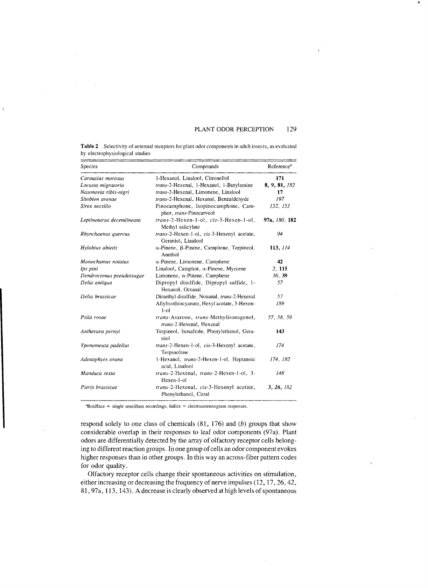#### PLANT ODOR PERCEPTION 129

..

| <b>Table 2</b> Selectivity of antennal receptors for plant odor components in adult insects, as evaluated |
|-----------------------------------------------------------------------------------------------------------|
| by electrophysiological studies                                                                           |

| Species                   | Compounds                                                          | Reference <sup>a</sup> |
|---------------------------|--------------------------------------------------------------------|------------------------|
| Carausius morosus         | 1-Hexanol, Linalool, Citronellol                                   | 171                    |
| Locusta migratoria        | trans-2-Hexenal, 1-Hexanol, 1-Butylamine                           | 8, 9, 81, 182          |
| Nasonovia ribis-nigri     | trans-2-Hexenal, Limonene, Linalool                                | 17                     |
| Sitobion avenae           | trans-2-Hexenal, Hexanal, Benzaldehyde                             | 197                    |
| Sirex noctilio            | Pinocamphone, Isopinocamphone, Cam-<br>phor, trans-Pinocarveol     | 152, 153               |
| Leptinotarsa decemlineata | trans-2-Hexen-1-ol, cis-3-Hexen-1-ol,<br>Methyl salicylate         | 97a, 180, 182          |
| Rhynchaenus quercus       | trans-2-Hexen-1-ol, cis-3-Hexenyl acetate,<br>Geraniol, Linalool   | 94                     |
| Hylobius abietis          | $\alpha$ -Pinene, $\beta$ -Pinene, Camphene, Terpineol,<br>Anethol | 113, 114               |
| Monochamus notatus        | $\alpha$ -Pinene, Limonene, Camphene                               | 42                     |
| Ips pini                  | Linalool, Camphor, a-Pinene, Myrcene                               | 2, 115                 |
| Dendroctonus pseudotsugae | Limonene, $\alpha$ -Pinene, Camphene                               | 36, 39                 |
| Delia antiqua             | Dipropyl disulfide, Dipropyl sulfide, 1-<br>Hexanol, Octanal       | 57                     |
| Delia brassicae           | Dimethyl disulfide, Nonanal, trans-2-Hexenal                       | 57                     |
|                           | Allylisothiocyanate, Hexyl acetate, 3-Hexen-<br>$1$ -ol            | 189                    |
| Psila rosae               | trans-Asarone, trans-Methylisoeugenol,<br>trans-2-Hexenal, Hexanal | 57, 58, 59             |
| Antheraea pernyi          | Terpineol, Isosafrole, Phenylethanol, Gera-<br>niol                | 143                    |
| Yponomeuta padellus       | trans-2-Hexen-1-ol, cis-3-Hexenyl acetate,<br>Terpinolene          | 174                    |
| Adoxophyes orana          | 1-Hexanol, trans-2-Hexen-1-ol, Heptanoic<br>acid. Linalool         | 174, 182               |
| Manduca sexta             | trans-2-Hexenal, trans-2-Hexen-1-ol, 3-<br>Hexen-1-ol              | 148                    |
| Pieris brassicae          | trans-2-Hexenal, cis-3-Hexenyl acetate,<br>Phenylethanol, Citral   | 3, 26, 182             |

 $aBoldface = single sensitivity$  recordings; italics = electroantennogram responses.

respond solely to one class of chemicals  $(81, 176)$  and  $(b)$  groups that show considerable overlap in their responses to leaf odor components (97a). Plant odors are differentially detected by the array of olfactory receptor cells belonging to different reaction groups. In one group of cells an odor component evokes higher responses than in other groups. In this wayan across-fiber pattern codes for odor quality.

Olfactory receptor cells change their spontaneous activities on stimulation, either increasing or decreasing the frequency of nerve impulses (12, 17,26,42, 81, 97a, 113, 143). A decrease is clearly observed at high levels of spontaneous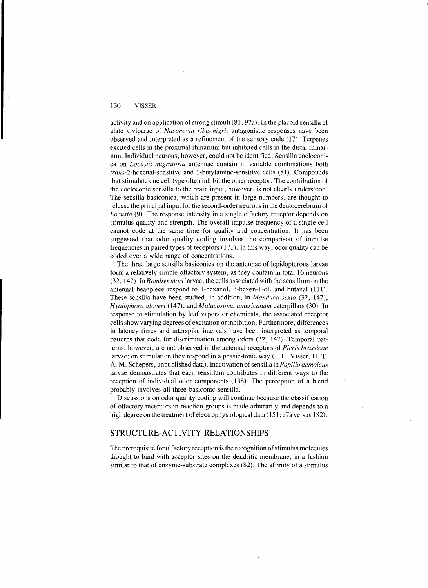activity and on application of strong stimuli (81, 97a). In the placoid sensilla of alate viviparae of *Nasonovia ribis-nigri,* antagonistic responses have been observed and interpreted as a refinement of the sensory code (17). Terpenes excited cells in the proximal rhinarium but inhibited cells in the distal rhinarium. Individual neurons, however, could not be identified. Sensilla coeloconica on *Locusta migratoria* antennae contain in variable combinations both *trans-*2-hexenal-sensitive and I-butylamine-sensitive cells (81). Compounds that stimulate one cell type often inhibit the other receptor. The contribution of the coeloconic sensilla to the brain input, however, is not clearly understood. The sensilla basiconica, which are present in large numbers, are thought to release the principal input for the second-order neurons in the deutocerebrum of *Locusta* (9). The response intensity in a single olfactory receptor depends on stimulus quality and strength. The overall impulse frequency of a single cell cannot code at the same time for quality and concentration. It has been suggested that odor quality coding involves the comparison of impulse frequencies in paired types of receptors (171). In this way, odor quality can be coded over a wide range of concentrations.

.,

The three large sensilla basiconica on the antennae of lepidopterous larvae form a relatively simple olfactory system, as they contain in total 16 neurons (32, 147). In *Bomhyx mori* larvae, the cells associated with the sensillum on the antennal headpiece respond to I-hexanol, 3-hexen-l-ol, and butanal (111). These sensilla have been studied, in addition, in *Manduca sexta* (32, 147), *Hyalophora gloveri* (147), and *Malacosoma americanum* caterpillars (30), In response to stimulation by leaf vapors or chemicals, the associated receptor cells show varying degrees of excitation or inhibition. Furthermore, differences in latency times and interspike intervals have been interpreted as temporal patterns that code for discrimination among odors (32, 147). Temporal patterns, however, are not observed in the antennal receptors of *Pieris brassicae*  larvae; on stimulation they respond in a phasic-tonic way (1. H. Visser, H. T. A. M. Schepers, unpublished data). Inactivation of sensilla *inPapilio demoleus*  larvae demonstrates that each sensillum contributes in different ways to the reception of individual odor components (138). The perception of a blend probably involves all three basiconic sensilla.

Discussions on odor quality coding will continue because the classification of olfactory receptors in reaction groups is made arbitrarily and depends to a high degree on the treatment of electrophysiological data (151; 97a versus 182).

## STRUCTURE-ACTIVITY RELATIONSHIPS

The prerequisite for olfactory reception is the recognition of stimulus molecules thought to bind with acceptor sites on the dendritic membrane, in a fashion similar to that of enzyme-substrate complexes (82). The affinity of a stimulus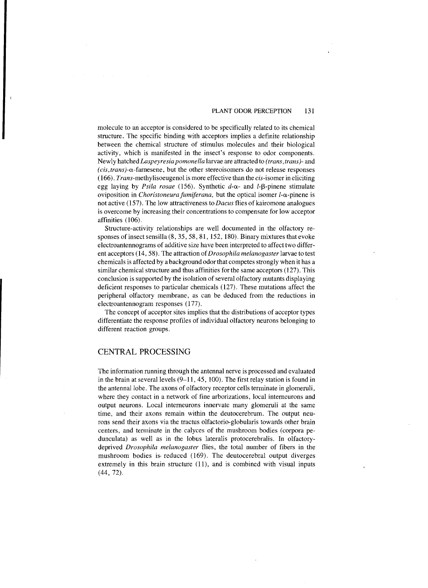## PLANT ODOR PERCEPTION 131

molecule to an acceptor is considered to be specifically related to its chemical structure. The specific binding with acceptors implies a definite relationship between the chemical structure of stimulus molecules and their biological activity, which is manifested in the insect's response to odor components. Newly hatched *Laspeyresia pomonella* larvae are attracted to *(trans, trans)-* and *(cis,trans)-a-farnesene,* but the other stereoisomers do not release responses *(166). Trans-methylisoeugenol* is more effective than the cis-isomer in eliciting egg laying by *Psila rosae* (156). Synthetic  $d-\alpha$ - and *l*-B-pinene stimulate oviposition in *Choristoneura fumiferana*, but the optical isomer  $l$ - $\alpha$ -pinene is not active (157). The low attractiveness to *Dacus* flies of kairomone analogues is overcome by increasing their concentrations to compensate for low acceptor affinities (106).

Structure-activity relationships are well documented in the olfactory responses of insect sensilla (8, 35, 58, 81, 152, 180). Binary mixtures that evoke electroantennograms of additive size have been interpreted to affect two different acceptors (14, 58). The attraction of *Drosophila melanogaster* larvae to test chemicals is affected by a background odor that competes strongly when it has a similar chemical structure and thus affinities for the same acceptors (127). This conclusion is supported by the isolation of several olfactory mutants displaying deficient responses to particular chemicals (127). These mutations affect the peripheral olfactory membrane, as can be deduced from the reductions in electroantennogram responses (177).

The concept of acceptor sites implies that the distributions of acceptor types differentiate the response profiles of individual olfactory neurons belonging to different reaction groups.

## CENTRAL PROCESSING

The information running through the antennal nerve is processed and evaluated in the brain at several levels (9-11, 45, 100). The first relay station is found in the antennal lobe. The axons of olfactory receptor cells terminate in glomeruli, where they contact in a network of fine arborizations, local interneurons and output neurons. Local interneurons innervate many glomeruli at the same time, and their axons remain within the deutocerebrum. The output neurons send their axons via the tractus olfactorio-globularis towards other brain centers, and terminate in the calyces of the mushroom bodies (corpora pedunculata) as well as in the lobus lateralis protocerebralis. In olfactorydeprived *Drosophila melanogaster* flies, the total number of fibers in the mushroom bodies is reduced (169). The deutocerebral output diverges extremely in this brain structure (11), and is combined with visual inputs (44, 72).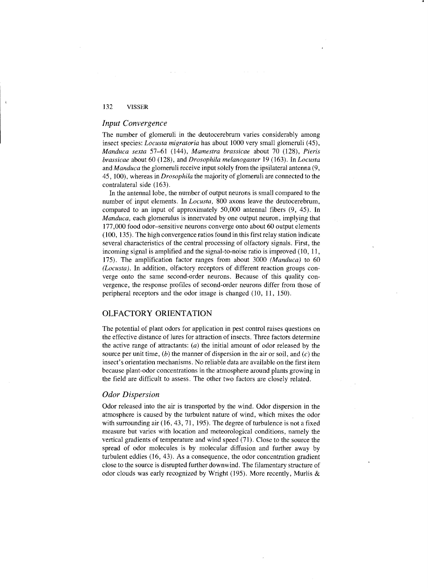### *Input Convergence*

The number of glomeruli in the deutocerebrum varies considerably among insect species: *Locusta migratoria* has about 1000 very small glomeruli (45), *Manduca sexta* 57-61 (144), *Mamestra brassicae* about 70 (128), *Pieris brassicae* about 60 (128), and *Drosophila melanogaster* 19 (163). In *Locusta*  and *Manduca* the glomeruli receive input solely from the ipsilateral antenna (9, 45, 100), whereas in *Drosophila* the majority of glomeruli are connected to the contralateral side (163).

In the antennal lobe, the number of output neurons is small compared to the number of input elements. In *Locusta,* 800 axons leave the deutocerebrum, compared to an input of approximately 50,000 antennal fibers (9, 45). In *Manduca*, each glomerulus is innervated by one output neuron, implying that 177 ,000 food odor-sensitive neurons converge onto about 60 output elements (100, 135). The high convergence ratios found in this first relay station indicate several characteristics of the central processing of olfactory signals. First, the incoming signal is amplified and the signal-to-noise ratio is improved  $(10, 11, 10)$ 175). The amplification factor ranges from about 3000 *(Manduca)* to 60 *(Locusta).* In addition, olfactory receptors of different reaction groups converge onto the same second-order neurons. Because of this quality convergence, the response profiles of second-order neurons differ from those of peripheral receptors and the odor image is changed (10, 11, 150).

# OLFACTORY ORIENTATION

The potential of plant odors for application in pest control raises questions on the effective distance of lures for attraction of insects. Three factors determine the active range of attractants:  $(a)$  the initial amount of odor released by the source per unit time,  $(b)$  the manner of dispersion in the air or soil, and  $(c)$  the insect's orientation mechanisms. No reliable data are available on the first item because plant-odor concentrations in the atmosphere around plants growing in the field are difficult to assess. The other two factors are closely related.

#### *Odor Dispersion*

Odor released into the air is transported by the wind. Odor dispersion in the atmosphere is caused by the turbulent nature of wind, which mixes the odor with surrounding air (16, 43, 71, 195). The degree of turbulence is not a fixed measure but varies with location and meteorological conditions, namely the vertical gradients of temperature and wind speed (71). Close to the source the spread of odor molecules is by molecular diffusion and further away by turbulent eddies (16, 43). As a consequence, the odor concentration gradient close to the source is disrupted further downwind. The filamentary structure of odor clouds was early recognized by Wright (195). More recently, Murlis &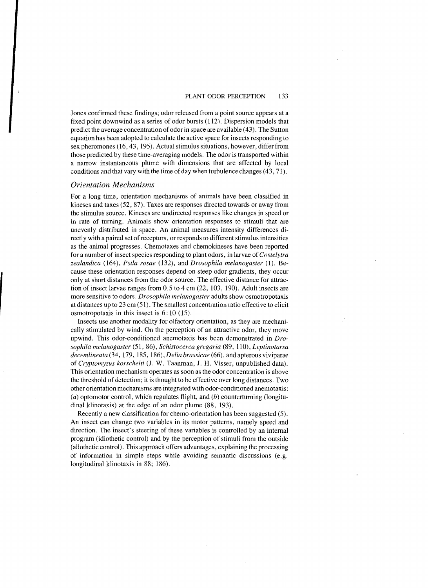Jones confirmed these findings; odor released from a point source appears at a fixed point downwind as a series of odor bursts (112). Dispersion models that predict the average concentration of odor in space are available  $(43)$ . The Sutton equation has been adopted to calculate the active space for insects responding to sex pheromones (16, 43, 195). Actual stimulus situations, however, differ from those predicted by these time-averaging models. The odor is transported within a narrow instantaneous plume with dimensions that are affected by local conditions and that vary with the time of day when turbulence changes (43, 71).

# *Orientation Mechanisms*

For a long time, orientation mechanisms of animals have been classified in kineses and taxes (52,87). Taxes are responses directed towards or away from the stimulus source. Kineses are undirected responses like changes in speed or in rate of turning. Animals show orientation responses to stimuli that are unevenly distributed in space. An animal measures intensity differences directly with a paired set of receptors, or responds to different stimulus intensities as the animal progresses. Chemotaxes and chemokineses have been reported for a number of insect species responding to plant odors, in larvae of *Costelytra zealandica* (164), *Psila rosae* (132), and *Drosophila melanogaster* (1). Because these orientation responses depend on steep odor gradients, they occur only at short distances from the odor source. The effective distance for attraction of insect larvae ranges from 0.5 to 4 cm (22, 103, 190). Adult insects are more sensitive to odors. *Drosophila melanogaster* adults show osmotropotaxis at distances up to 23 cm (51). The smallest concentration ratio effective to elicit osmotropotaxis in this insect is 6: 10 (15).

Insects use another modality for olfactory orientation, as they are mechanically stimulated by wind. On the perception of an attractive odor, they move upwind. This odor-conditioned anemotaxis has been demonstrated in *Drosophila melanogaster* (51, 86), *Schistocerca gregaria* (89, **110),** *Leptinotarsa decemlineata* (34, 179, 185, 186), *Delia brassicae* (66), and apterous viviparae of *Cryptomyzus korschelti* (1. W. Taanman, J. H. Visser, unpublished data). This orientation mechanism operates as soon as the odor concentration is above the threshold of detection; it is thought to be effective over long distances. Two other orientation mechanisms are integrated with odor-conditioned anemotaxis: (a) optomotor control, which regulates flight, and  $(b)$  counterturning (longitudinal klinotaxis) at the edge of an odor plume (88, 193).

Recently a new classification for chemo-orientation has been suggested (5). An insect can change two variables in its motor patterns, namely speed and direction. The insect's steering of these variables is controlled by an internal program (idiothetic control) and by the perception of stimuli from the outside (allothetic control). This approach offers advantages, explaining the processing of information in simple steps while avoiding semantic discussions (e.g. longitudinal klinotaxis in 88; 186).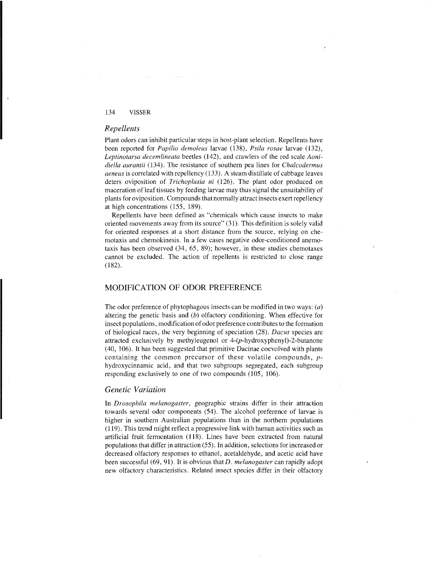## *Repellents*

Plant odors can inhibit particular steps in host-plant selection. Repellents have been reported for *Papilio dcmoleus* larvae (138), *Psi!a rosac* larvae (132), *Leptinotarsa decemlincata* beetles (142), and crawlers of the red scale *Aonidiella aurantii* (134). The resistance of southern pea lines for *Cha!codcrmus acneus* is correlated with repellency (133). A steam distillate of cabbage leaves deters oviposition of *Trichoplusia ni* (126). The plant odor produced on maceration of leaf tissues by feeding larvae may thus signal the unsuitability of plants for oviposition. Compounds that normally attract insects exert repellency at high conccntrations (155, 189).

Repellents have been defined as "chemicals which cause insects to make oriented movements away from its source" (31). This definition is solely valid for oriented responses at a short distance from the source, relying on che motaxis and chemokinesis. In a few cases negative odor-conditioned anemotaxis has been ohserved (34. 65, 89); however, in these studies chemotaxes cannot be excluded. The action of repellents is restricted to close range  $(182)$ .

## MODIFICATION OF ODOR PREFERENCE

The odor preference of phytophagous insects can be modified in two ways:  $(a)$ altering the genetic basis and  $(b)$  olfactory conditioning. When effective for insect populations, modification of odor preference contributes to the formation of biological races, the very beginning of speciation (28). *Dacus* species are attracted exclusively by methyleugenol or 4-(p-hydroxyphenyl)-2-butanone (40, J06). It has been suggested that primitive Dacinae coevolved with plants containing the common precursor of these volatile compounds, *p*hydroxycinnamic acid, and that two subgroups segregated, each subgroup responding exclusively to one of two compounds (105, 106).

# *Genetic Variation*

In *Drosophila melanogaster*, geographic strains differ in their attraction towards several odor components (54). The alcohol preference of larvae is higher in southern Australian populations than in the northern populations (119). This trend might reflect a progressive link with human activities such as artificial fruit fermentation (118). Lines have been extracted from natural populations that differ in attraction (55). **In** addition, selections for increased or decreased olfactory responses to ethanol, acetaldehyde, and acetic acid have been successful (69, 91). It is obvious thatD. *melanogaster* can rapidly adopt new olfactory characteristics. Related insect species differ in their olfactory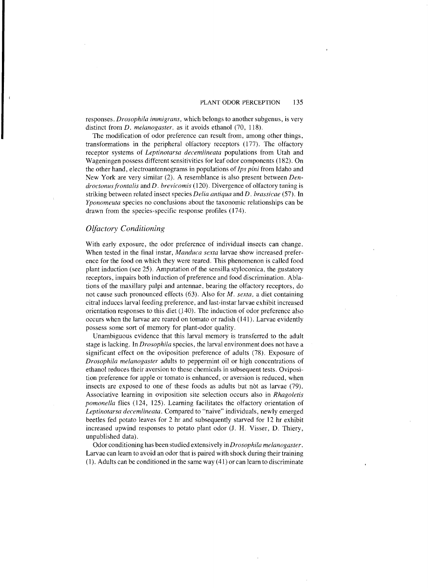responses. *Drosophila immigrans,* which belongs to another subgenus, is very distinct from *D. melanogaster,* as it avoids ethanol (70, 118).

The modification of odor preference can result from, among other things, transformations in the peripheral olfactory receptors (177). The olfactory receptor systems of *Leptinotarsa decemlineata* populations from Utah and Wagcningen possess different sensitivities for leaf odor components (182). On the other hand, electroantennograms in populations of *Ips pini* from Idaho and New York are very similar (2). A resemblance is also present between *Dendroctonus frontalis and D. brevicomis* (120). Divergence of olfactory tuning is striking between related insect species *Delia antiqua* and D. *brassicae* (57). In *Yponomeuta* species no conclusions about the taxonomic relationships can be drawn from thc species-specific response profiles (174).

## *Olfactory Conditioning*

With early exposure, the odor preference of individual insects can change. When tested in the final instar, *Manduca sexta* larvae show increased prefcrence for the food on which they were reared. This phenomenon is called food plant induction (see 25). Amputation of the sensilla styloconica, the gustatory receptors, impairs both induction of preference and food discrimination. Ablations of the maxillary palpi and antennae, bearing the olfactory receptors, do not cause such pronounced effects (63). Also for *M. sexta,* a diet containing citral induces larval feeding preference, and last-instar larvae exhibit increased orientation responses to this diet (140). Thc induction of odor preference also occurs when the larvae are reared on tomato or radish (141). Larvae evidently possess some sort of memory for plant-odor quality.

Unambiguous evidence that this larval memory is transferred to the adult stage is lacking. In *Drosophila* species, the larval environment does not have a significant effect on the oviposition preference of adults (78). Exposure of *Drosophila melanogaster* adults to peppermint oil or high concentrations of ethanol reduces their aversion to these chemicals in subsequent tests. Oviposition preference for apple or tomato is enhanced, or aversion is reduced, when insects are exposed to one of these foods as adults but not as larvae (79). Associative learning in oviposition site sclection occurs also in *Rhagoletis pomonella* flies (124, 125). Learning facilitates the olfactory oricntation of *Leptinotarsa decemlineata.* Compared to "naive" individuals, newly emerged beetles fed potato leaves for 2 hr and subsequently starved for 12 hr exhibit increased upwind responses to potato plant odor (J. H. Visser, D. Thiery, unpublished data).

Odor conditioning has been studied extensively in *Drosophila melanogaster.*  Larvac can learn to avoid an odor that is paired with shock during their training (1). Adults can be conditioned in the same way (41) or can learn to discriminate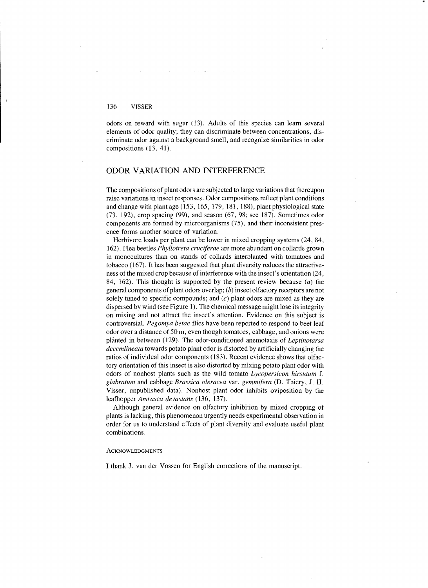odors on reward with sugar (13). Adults of this species can learn several elements of odor quality; they can discriminate between concentrations, discriminate odor against a background smell, and recognize similarities in odor compositions (13, 41).

# ODOR VARIATION AND INTERFERENCE

The compositions of plant odors are subjected to large variations that thereupon raise variations in insect responses. Odor compositions reflect plant conditions and change with plant age (153, 165, 179, 181, 188), plant physiological state (73, 192), crop spacing (99), and season (67, 98; see 187). Sometimes odor components are formed by microorganisms (75), and their inconsistent presence forms another source of variation.

Herbivore loads per plant can be lower in mixed cropping systems (24, 84, 162). Flea beetles *Phyllotreta cruciferae* are more abundant on collards grown in monocultures than on stands of collards interplanted with tomatoes and tobacco (167). It has been suggested that plant diversity reduces the attractiveness of the mixed crop because of interference with the insect's orientation (24, 84, 162). This thought is supported by the present review because  $(a)$  the general components of plant odors overlap; (b) insect olfactory receptors are not solely tuned to specific compounds; and  $(c)$  plant odors are mixed as they are dispersed by wind (see Figure 1). The chemical message might lose its integrity on mixing and not attract the insect's attention. Evidence on this subject is controversial. *Pegomya betae* flies have been reported to respond to beet leaf odor over a distance of 50 m, even though tomatoes, cabbage, and onions were planted in between (129). The odor-conditioned anemotaxis of *Leptinotarsa decemlineata* towards potato plant odor is distorted by artificially changing the ratios of individual odor components (183). Recent evidence shows that olfactory orientation of this insect is also distorted by mixing potato plant odor with odors of nonhost plants such as the wild tomato *Lycopersicon hirsutum* f. *glabratum* and cabbage *Brassica oleracea* var. *gemmifera* (D. Thiery, J. H. Visser, unpublished data). Nonhost plant odor inhibits oviposition by the leafhopper *Amrasca devastans* (136, 137).

Although general evidence on olfactory inhibition by mixed cropping of plants is lacking, this phenomenon urgently needs experimental observation in order for us to understand effects of plant diversity and evaluate useful plant combinations.

#### ACKNOWLEDGMENTS

I thank J. van der Vossen for English corrections of the manuscript.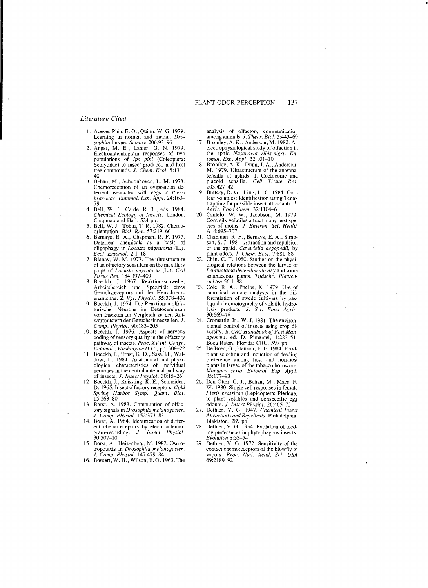.j

#### *Literature Cited*

- Aceves-Piña, E. O., Quinn, W. G. 1979. Learning in normal and mutant *Drosophila* larvae. *Science 206:93-96*
- Angst, M. E., Lanier, G. N. 1979. Electroantennogram responses of two populations of *Ips pini* (Coleoptera: Scolytidae) to insect-produced and host tree compounds. J. *Chem. Ecol. 5:131* 40
- 3. Behan, M., Schoonhoven, L. M. 1978. Chemoreception of an oviposition deten-ent associated with eggs in *Pieris brassicae. Entomol. Exp. Appl. 24:163*
- 79 4. Bell, W. J., Carde, R. T., eds. 1984. *Chemical Ecology of Insects.* London:<br>
Chapman and Hall. 524 pp.<br>
5. Bell, W. J., Tobin, T. R. 1982. Chemo-<br>
orientation. *Biol. Rev.* 57:219-60
- 
- 6. Bernays, E. A., Chapman, R. F. 1977. Deterrent chemicals as a basis of oligophagy in *Locusta migratoria* (L.). *Ecol. Entomol.* 2:1-18<br> *T.* Blaney, W. M. 1977. The ultrastructure of an olfactory sensillum on the maxillary
- palps of *Locusta migratoria* (L.). *Cell*
- Tissue Res. 184:397-409<br>
8. Boeckh, J. 1967. Reaktionsschwelle,<br>
Arbeitsbereich und Spezifität eines<br>
Geruchsrezeptors auf der Heuschreck-<br>
enantenne. Z. Vgl. Physiol. 55:378-406<br>
9. Boeckh, J. 1974. Die Reaktionen olfak-
- torischer Neurone im Deutocerebrum von lnsekten im Vergleich zu den Antwortmustern der Geruchssinneszellcn. J.
- *Comp. Physiol.* 90:183–205<br>10. Boeckh, J. 1976. Aspects of nervous coding of sensory quality in the olfactory pathway of insects. *Proc. XV Int. Congr.*
- *Entomol., Washington D.C., pp.* 308–22<br>11. Boeckh, J., Ernst, K. D., Sass, H., Wal-<br>dow, U. 1984. Anatomical and physiological characteristics of individual neurones in the central antennal pathway
- of insects. *J. Insect Physiol.* 30:15–26<br>12. Boeckh, J., Kaissling, K. E., Schneider, D. 1965. Insect olfactory receptors. *CoLd Spring Harbor Symp. Quant. Bioi.*  15:263-80
- 13. Borst, A. 1983. Computation of olfactory signals in *Drosophila melanogaster.*  J. *Compo Physioi. 152:373-83*
- 14. Borst, A. 1984. Identification of different chemoreceptors by clectroantenno-gram-recording. J. *Insect PhysioL.*  gram-recording.<br>30:507–10
- 15. Borst, A., Heisenberg, M. 1982. Osmotropotaxis in *Drosophila melanogaster*.<br> *J. Comp. Physiol.* 147:479–84<br>
16. Bossert, W. H., Wilson, E. O. 1963. The
- 

analysis of olfactory communication among animals. J. *Theor. Bioi. 5:443-69*  17. Bromley, A. K., Anderson, M. 1982. An

- electrophysiological study of olfaction in the aphid *Nasonovia ribis-nigri. Entomol. Exp. Appl.* 32:101–10<br>
18. Bromley, A. K., Dunn, J. A., Anderson, M. 1979. Ultrastructure of the antennal
- sensilla of aphids. I. Coeloconic and placoid sensilla. *Cell Tissue Res.*  203:427-42
- 19. Buttery, R. G., Ling, L. C. 1984. Com leaf volatiles: Identification using Tenax
- trapping for possible insect attractants. *J. Agric. Food Chem.* 32:1104–6<br>20. Cantelo, W. W., Jacobson, M. 1979.<br>Com silk volatiles attract many pest species of moths. *J. Environ. Sci. Health*  AI4:695-707
- 21. Chapman, R. F., Bemays, E. A., Simp-son, S. J. 1981. Attraction and repulsion of the aphid, *Cavariella aegopodii*, by plant odors. *J. Chem. Ecol.* 7:881–88<br>22. Chin, C. T. 1950. Studies on the physi-
- ological relations between the larvae of Leptinotarsa decemlineata Say and some
- solanaceous plants. *Tijdschr. Planten-*<br> *ziekten* 56:1-88<br>
23. Cole, R. A., Phelps, K. 1979. Use of<br>
canonical variate analysis in the differentiation of swede cultivars by gasliqnid chromotography of volatile hydro-lysis products. J. *Sci. Food Agric.*  30:669-76
- 24. Cromartie, Jr., W. J. 1981. The environ-<br>mental control of insects using crop di-<br>versity. In *CRC Handbook of Pest Management,* ed. D. Pimentel, 1:223-51. Boca Raton, Florida: CRC. 597 pp.
- 25. De Boer, G., Hanson, F. E. 1984. Food plant selection and induction of feeding preference among host and non-host plants in larvae of the tobacco hornworm *Manduca sexta. Entomol. Exp. Appl.*  35:177-93
- 26. Den Otter, C. J., Behan, M., Maes, F. W. 1980. Single cell responses in female *Pieris brassicae* (Lepidoptera: Pieridae) to plant volatiles and conspecific egg
- odours. J. *Insect Physiol. 26:465-72*  27. Dethier, V. G. 1947. *Chemical Insect Attractants and Repellents.* Philadelphia: Blakiston. 289 pp.
- 28. Dethier, V. G. 1954. Evolution of feed ing preferences in phytophagous insects. *Evolution 8:33-54*
- 29. Dethier, V. G. 1972. Sensitivity of the contact chemoreceptors of the blowfly to vapors. *Proc. Natl. Acad. Sci. USA*  69:2189-92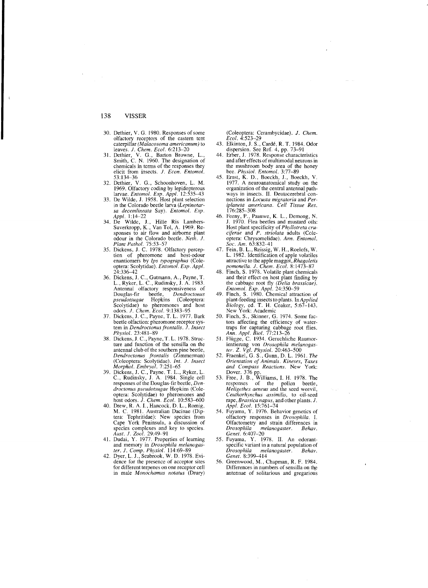- 30. Dethier, V. G. 1980. Responses of some olfactory receptors of the eastern tent caterpillar *(Malacosoma americanum)* to
- leaves. *J. Chem. Ecol.* 6:213-20<br>31. Dethier, V. G., Barton Browne, L., Smith, C. N. 1960. The designation of chemicals in terms of the responses they elicit from insects. J. *Econ. Entomol.*  53: 134-36
- 32. Dethier, V. G., Schoonhoven, L. M. 1969. Olfactory coding by lepidopterous<br>larvae. *Entomol. Exp. Appl.* 12:535–43<br>33. De Wilde, J. 1958. Host plant selection
- in the Colorado beetle larva *(Leptinotarsa Jecelnlineata* Say). *Entomo!. Exp. Appl. 1:14-22*
- 34. De Wilde, J., Hille Ris Lambers· Suverkropp, K., Van Tol, A. 1969. Re-sponses to air How and airborne plant
- odour in the Colorado beetle. *Neth. J.*<br> *Plant Pathol.* 75:53-57<br>
35. Dickens, J. C. 1978. Olfactory percep-<br>
tion of pheromone and host-odour enantiomers by *Ips typographus* (Coleoptera: Scolytidae). *Entomol. Exp. Appl.* 24:336-42
- 36. Dickens, J. C., Gutmann, A., Payne, T.<br>L., Ryker, L. C., Rudinsky, J. A. 1983. Antennal olfactory responsiveness of Douglas-fir beetle, *Dendroctonus pseudotsugae* Hopkins (Coleoptera: Scolytidae) to pheromones and host<br>odors. *J. Chem. Ecol.* 9:1383–95<br>37. Dickens, J. C., Payne, T. L. 1977. Bark
- beetle olfaction: pheromone receptor system in *Dendroctonus frontalis.* J. Insect *Physiol. 23:481-89*
- 38. Dickens, J. C., Payne, T. L. 1978. Struc-ture and function of the sensilla on the antennal club of the southern pine beetlc, *Dendroctonus frontalis* (Zimmerman, (Coleoptera: Scolytidac). *Int.* 1. *Insect Morphol. Emhryol. 7:251-65*
- 39. Dickens, J. c., Payne, T. L., Ryker, L. c., Rudinsky, J. A. 1984. Single cell responses of the Douglas-fir beetle, *Delldroctonus pseudotsllgae* Hopkins (Coleoptera: Scolytidae) to pheromones and
- host odors. J. *Chem. Ecot. 10:583-600*  40. Drew, R. A. I., Hancock, D. L., Romig, M. C. 1981. Australian Dacinae (Diptera: Tephritidae): New species from Cape York Peninsula, a discussion of species complexes and key to species. *Aust.* J. *Zool. 29:49-91*
- 41. Dudai, Y. 1977. Properties of learning and memory in *Drosophila melanogas-*
- *ter. J. Comp. Physiol.* 114:69–89<br>42. Dyer, L. J., Seabrook, W. D. 1978. Evi-<br>dence for the presence of acceptor sites for different terpenes on one receptor cell in male *Monochamlls notatus* (Drury)

(Coleoptera: Cerambycidae). J. *Chem.* 

- *Ecol.* 4:523-29<br>
43. Elkinton, J. S., Cardé, R. T. 1984. Odor<br>
dispersion. See Ref. 4, pp. 73-91<br>
44. Erber, J. 1978. Response characteristics
- and after effects of multimodal neurons in the mushroom body area of the honey bee. *Physiot. Entomol. 3:77-89*
- 45. Ernst, K. D.. Boeckh, J., Boeckh, V. 1977. A neuroanatomical study on the organization of the central antennal pathways in insects. II. Deutocerebral connections in *Locusta migratoria* and *Periplaneta americana. Cell Tissue Res.*  176:285-308
- 46. Feeny, P., Paauwe, K. L., Dcmong, N. J. 1970. Flea beetles and mustard oils: Host plant specificity of *Phyllotreta cruciferae* and *P. striolata* adults (Cole-optera: Chrysomelidac). *Ann. Entomol.*
- *Soc. Am.* 63:832-41<br>47. Fein, B. L., Reissig, W. H., Roelofs, W. L. 1982. Identification of apple volatiles attractive to the apple maggot, *Rhagoletis*
- *pomonelia.* J. *Chem. Ecol. 8:1473-87*  48. Finch, S. 1978. Volatile plant chemicals and their effect on host plant finding by the cabbage root fly *(Delia brassicae). Entomol. Exp. Appl. 24:350-59*
- 49. Finch, S. 1980. Chemical attraction of plant-feeding insects to plants. *InAppUed*
- *Biology, ed. T. H. Coaker, 5:67-143.*<br>
New York: Academic<br>
50. Finch, S., Skinner, G. 1974. Some fac-<br>
tors affecting the efficiency of watertraps for capturing cabbage root flies. *Ann. Appl. Bioi. 77:213-26*  51. Fliigge, C. 1934. Geruchliche Raumor-
- 
- ientierung von Drosophila melanogas-<br>ter. Z. Vgl. Physiol. 20:463–500<br>52. Fraenkel, G. S., Gumn, D. L. 1961. The<br>Orientation of Animals. Kineses, Taxes<br>and Compass Reactions. New York:
- Dover. 376 pp.<br>53. Free, J. B., Williams, I. H. 1978. The responses of the pollen beetle, *Meligethes aeneus* and the seed weevil, *Cellthorhynchus assimi/is,* to oil-seed rape, *Brassica napus,* and other plants. *J.*
- *Appl. Eco!. 15:761-74*  54. Fuyama, Y. 1976. Behavior genetics of olfactory responses in *Drosophila.* 1. Olfactometry and strain differences in<br>*Drosophila melanopaster Behav*  $melanogaster.$ *Genet. 6:407-20*
- 55. Fuyama, Y. 1978. II. An odorantspecific variant in a natural population of *Drosophila melanogaster. Behav. Genet. 8:399-414*
- 56. Greenwood, M., Chapman, R. F. 1984. Differences in numbers of sensilla on the antennae of solitarious and gregarious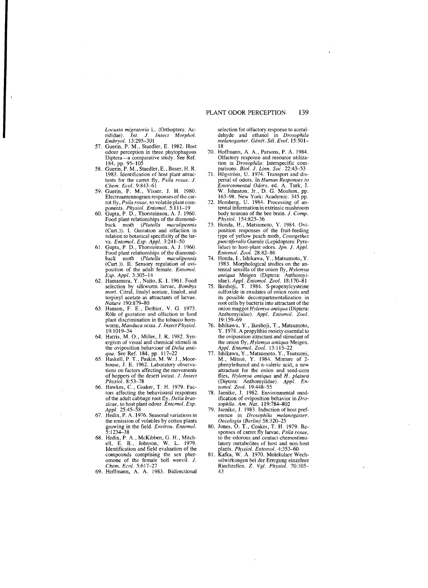*Locusta migratoria* L. (Orthoptera: Acrididae). *Int. l. Insect Morpho!. Embryol. 13:295-301* 

- 57. Guerin, P. M., Staedler, E. 1982. Host odour perception in three phytophagous<br>Diptera—a comparative study. See Ref.<br>184, pp. 95–105
- 58. Guerin, P. M., Staedler, E., Buser, H. R. 1983. Identification of host plant attractants for the carrot fly, *Psila rosae. l.*
- *Chon. Ecol. 9:843-61*  59. Guerin, P. M., Visser, J. H. 1980. Electroantennogram responses of the carrot fly, *Psila rosae,* to volatile plant components. *Physiol. Entomol. 5:111-19*
- 60. Gupta, P. D., Thorsteinson, A. J. 1960. Food plant relationships of the diamondback moth *(Plulella maculipennis*  (Curt.)). I. Gustation and olfaction in relation to botanical specificity of the lar-
- va. *Entomol. Exp. Appl.* 3:241–50<br> **61. Gupta, P. D., Thorsteinson, A. J. 1960.** Food plant relationships of the diamondback moth *(Plutella maculipennis*<br>(Curt.)). II. Sensory regulation of ovi-<br>position of the adult female. *Entomol*. *Exp. Appl. 3:305-14*
- 62. Hamamura, Y., Naito, K.l. 1961. Food selection by silkworm larvae, *Bombyx mori.* Citral, linalyl acetate, linalol, and terpinyl acetate as attractants of larvae.
- *Nature 190:879-80*  63. Hanson, F. E., Dethier, V. G. 1973. Rôle of gustation and olfaction in food plant discrimination in the tobacco homwonn, *Manduca sexta. l. Insect Physiol.*  19:1019--34
- 64. Harris, M. 0., Miller, J. R. 1982. Synergism of visual and chemical stimuli in the oviposition behaviour of *Delia anti-*
- *qua.* See Ref. 184, pp. 117–22<br>65. Haskell, P. T., Paskin, M. W. J., Moor house, J. E. 1962. Laboratory observations on factors affecting the movements of hoppers of the desert locust. 1. *Insect Physiol. 8:53-78*
- 66. Hawkes, C., Coaker, T. H. 1979. Fac tors affecting the behavioural responses of the adult cabbage root fly, *Delia brassicae,* to host plant odour. *Entomol. Exp. Appl. 25:45-58*
- 67. Hedin, P. A. 1976. Seasonal variations in the emission of volatiles by cotton plants growing in the field. *Environ. Entomol.* 5: 1234--38
- 68. Hedin, P. A., McKibben, G. H., Mitch-ell, E. B., Johnson, W. L 1979. Identification and field evaluation of the compounds comprising the sex pher-omone of the female boll weeviL *l. Chem. Ecol. 5:617-27*
- 69. Hoffmann, A. A. 1983. Bidirectional

selection for olfactory response to acetaldehyde and ethanol in *Drosophila melanogaster. Genet. Se!. Evol. 15:501*

- 18 70. Hoffmann, A. A., Parsons, P. A. 1984, Olfactory response and resource utilization in *Drosophila:* Interspecific com-
- parisons. *Biol. J. Linn. Soc.* 22:43–53<br>71. Högström, U. 1974. Transport and dispersal of odors. In *Human Responses to Environmental Odors*, ed. A. Turk, J.<br>W. Johnston, Jr., D. G. Moulton, pp.<br>163–98. New York: Academic. 345 pp.<br>72. Homberg, U. 1984. Processing of an-
- tennal information in extrinsic mushroom body neurons of the bee brain. *J. Comp*. *Physiol. 154:825-36*
- 73. Honda, H., Matsumoto, Y. 1984. Oviposition responses of the fruit-feeding type of yellow peach moth, *Conogethes punctiferalis* Guenee (Lepidoptera: Pyralidae) to host-plant odors. *lpn.* 1. *Appl. Entomol. Zool. 28:82-86*
- 74. Honda, 1., Ishikawa, Y., Matsumoto, Y. 1983. Morphological studies on the an-tennal sensilla of the onion fly, *Hylemya antiqua* Meigen (Diptera: Anthomyi-
- idae)*. Appl. Entomol. Zool.* 18:170–81<br>75. Ikeshoji, T. 1984. S-propenylcysteine sulfoxide in exudates of onion roots and its possible decompartmentalization in root cells by bacteria into attractant of the onion maggot *Hy/emya antiqua* (Diptera: Anthomyiidae). Appl. Entomol. Zool. 19:159-69
- 76. Ishikawa, Y., Ikeshoji, T., Matsumoto, Y. 1978. A propylthio moiety essential to the oviposition attractant and stimulant of the onion t1y, *Hylemya anliqua* Meigen. *Appl. Entomol. Zool. 13:115-22*
- 77. Ishikawa, Y., Matsumoto, Y., Tsutsumi, M., Mitsui, Y. 1984. Mixture of 2 phenylethanol and n-valeric acid, a new attractant for the onion and seed-com flies, *Hylemya antiqua* and *H. platura*  (Diptera: Anthomyiidae). *Appl. Entomol. Zool. 19:448--55*
- 78. Jaenike, J. 1982. Environmental modification of oviposition behavior in *Drosophila. Am. Nat. 119:784--802*
- 79. Jaenike, J. 1983. Induction of host preference in *Drosophila melanogaster. Oecologia (Berlin)* 58:320–25
- 80. Jones, O. T., Coaker, T. H. 1979. Re sponses of carrot fly larvae, *Psila rosae,*  to the odorous and contact-chemostimulatory metabolites of host and non-host plants. *Physioi. Entomol. 4:353-60*
- 81. Kafka, W. A. 1970. Molekulare Wechselwirkungen bei der Erregung einzelner Riechzellen. Z. *Vgl. Physiol. 70:105* 43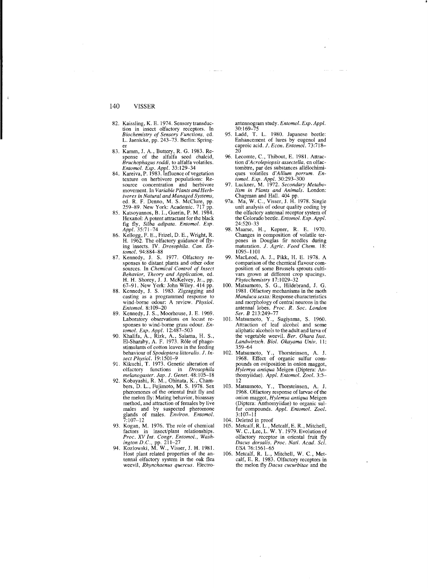- 82. Kaissling, K. E. 1974. Sensory transduction in insect olfactory receptors. In *Biochemistry of Sensory Functions,* ed. L. Jaenicke, pp. 243-73. Berlin: Spring-
- er<br>83. Kamm, J. A., Buttery, R. G. 1983. Response of the alfalfa seed chalcid, *Bruchophagus roddi,* to alfalfa volatiles.
- *Entomol. Exp. Appl.* 33: 129-34 84. Kareiva, P. 1983. Influence of vegetation texture on herbivore populations: Resource concentration and herbivore movement. In *Variable Plants and Herbivores in Natural and Managed Systems,*  ed. R. F. Denno, M. S. McClure, pp.
- 259-89. New York: Academic. 717 pp. 85. Katsoyannos, B. I., Guerin, P. M. 1984. Hexanol: A potent attractant for the black fig fly, *Si!ba adipata. Entomol. Exp. Appl. 35:71-74*
- 86. Kellogg, F. E., Frizel, D. E., Wright, R. H. 1962. The olfactory guidance of flying insects. IV. *Drosophila. Can. En-tomol. 94:884-88*
- 87. Kennedy, J. S. 1977. Olfactory responses to distant plants and other odor sources. In *Chemical Control of Insect Behavior, Theory and Application,* ed. H. H. Shorey, J. J. McKelvey, Jr., pp.
- 67–91. New York: John Wiley. 414 pp.<br>88. Kennedy, J. S. 1983. Zigzagging and casting as a programmed response to wind-borne odour: A review. *Physiol*. *Entomol. 8:109-20*
- 89. Kennedy, J. S., Moorhouse, J. E. 1969. Laboratory observations on locust responses to wind-bome grass odour. *En-*
- *tornol. Exp. Appl. 12:487-503*  90. Khalifa, A., Rizk, A., Salama, H. S., EI-Sharaby, A. F. 1973. Role of phago-stimulants of cotton leaves in the feeding behaviour of *Spodoptera littoralis. l. Insect Phvsiol. 19:1501-9*
- 91. Kikuchi, T. 1973. Genetic alteration of olfactory functions in *Drosophila melanogaster. Jap. J. Genet.* 48:105-18 <br>*melanogaster. Jap. J. Genet.* 48:105-18<br>92. Kobayashi, R. M., Ohinata, K., Cham-
- bers, D. L., Fujimoto, M. S. 1978. Sex pheromones of the oriental fruit fly and the melon fly: Mating behavior, bioassay method, and attraction of females by live males and by suspected pheromone glands of males. *Environ. Entomol.*   $7:107 - 12$
- 93. Kogan, M. 1976. The role of chemical factors in insect/plant relationships.<br> *Proc. XV Int. Congr. Entomol., Wash-*<br> *ington D.C., pp. 211–27*<br>
94. Kozlowski, M. W., Visser, J. H. 1981.<br>
Host plant related properties of the an-
- tennal olfactory system in the oak flea weevil, *Rhynchaenus quercus.* Electro-

- antennogram study. *Entomol. Exp. Appl.*<br>
30: 169-75<br>
95. Ladd, T. L. 1980. Japanese beetle:<br>
Enhancement of lures by eugenol and<br>
caproic acid. *J. Econ. Entomol.* 73:718-
- 20 96. Lecomte, C .• Thibout, E. 1981. Attraction *d'Acrolepiopsis assectella,* en olfactomètre, par des substances allélochimi-<br>ques volatiles d'*Allium porrum. En*-
- *tomol. Exp. Appl. 30:293-300*  97. Luckner, M. 1972. *Secondary Metabolism in Plants and Animals.* London:
- Chapman and Hall. 404 pp. 97a. Ma, W. c., Visser, J. H. 1978. Single unit analysis of odour quality coding by the olfactory antennal receptor system of the Colorado beetle. *Entomol. Exp. Appl.*  24:520-33
- 98. Maarse, H., Kepner, R. E. 1970. Changes in composition of volatile terpenes in Douglas fir needles during maturation. *l. Agric. Food Chern. 18:*  1095-1101
- MacLeod, A. J., Pikk, H. E. 1978. A comparison of the chemical flavour composition of some Brussels sprouts cultivars grown at different crop spacings. *Phytochemistry* 17: I 029-32
- 100. Matsumoto, S. G., Hildebrand, J. G.<br>1981. Olfactory mechanisms in the moth<br>*Manduca sexta:* Response characteristics and morphology of central neurons in the antennal lobes. *Proc. R. Soc. London Ser. B 213:249-77*
- 101. Matsumoto, Y., Sugiyama, S. 1960. Attraction of leaf alcohol and some aliphatic alcohols to the adult and larva of the vegetable weevil. *Ber. Ohara Inst. Landwirtsch. Bioi. Okavama Univ.* II: 359-64 <sup>~</sup>
- 102. Matsumoto, Y., Thorsteinson, A. J.<br>1968. Effect of organic sulfur compounds on oviposition in onion maggot, *Hylemya ami qua* Meigen (Diptera: An-thomyiidae), *App!. Entomol. Zool. 3:5-*
- 12 103. Matsumoto, Y., Thorsteinson, A. J. 1968. Olfactory response of larvae of the onion maggot, *Hylemya antiqua* Meigen (Diptera: Anthomyiidae) to organic sulfur compounds. *Appl. Entornol. Zool.*  3:107-11
- 104. Deleted in proof<br>105. Metcalf. R. L.. M
- 105. Metcalf, R. L., Metcalf, E. R., Mitchell,<br>W. C., Lee, L. W. Y. 1979. Evolution of olfactory receptor in oriental fruit fly *Dacus dorsalis. Proc. Natl. Acad.* Sci. *USA 76:1561-65*
- 106. Metcalf, R. L., Mitchell, W. C., Met calf, E. R. 1983. Olfactory receptors in the melon fly *Dacus cucurbitae* and the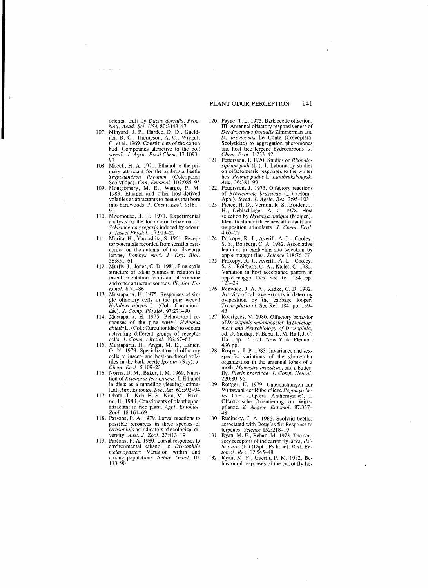- oriental fruit fly *Dacus dorsalis. Proc. Nat!. Acad. Sci. USA 80:3143-47*  107. Minyard, J. P., Hardee, D. D., Gueld-ner, R. c., Thompson, A. C., Wiygul, G. et al. 1969. Constituents of the cotton bud. Compounds attractive to the boll weevil. J. *Agric. Food Chem. 17:1093*
- 97 108. Moeck, H. A. 1970. Ethanol as the primary attractant for the ambrosia beetle *Trypodendron lineatum* (Coleoptera: Scolytidae). *Can. Entomol. 102:985-95*
- 109. Montgomery, M. E., Wargo, P. M. 1983. Ethanol and other host-derived volatiles as attractants to beetles that bore into hardwoods. *J. Chem. Ecol.* 9:181-
- 90 110. Moorhouse, J. E. 1971. Experimental analysis of the locomotor behaviour of *Schistocerca gregaria* induced by odour.
- 1. *Insect Physiol. 17:913-20*  111. Morita. H., Yamashita, S. 1961. Receptor potentials recorded from sensilla basiconica on the antenna of the silkworm larvae, *Bombyx mori. 1. Exp. Bioi.*  38:851-61
- 112. Murlis, J., Jones, C. D. 1981. Fine-scale structure of odour plumes in relation to insect orientation to distant pheromone and other attractant sources. *Phvsiol. Entomol*. 6:71-86
- 113. Mustaparta, H. 1975. Responses of single olfactory cells in the pine weevil *Hylobius abietis* L. (Col.: Curculioni-
- dae). *J. Comp. Physiol.* 97:271-90<br>
114. Mustaparta, H. 1975. Behavioural re-<br>
sponses of the pine weevil *Hylobius*<br> *ahietis* L. (Col.: Curculionidae) to odours activating different groups of receptor<br>cells. *J. Comp. Physiol.* 102:57–63
- 115. Mustaparta, H., Angst, M. E., Lanier, G. N. 1979. Specialization of olfactory cells to insect- and host-produced volatiles in the bark beetle *Ips pini* (Say). *J. Chem. Ecol.* 5:109-23
- 116. Norris, D. M., Baker, J. M. 1969. Nutrition of *Xyleborus ferrugineus.* I. Ethanol in diets as a tunneling (feeding) stimulant. *Ann. Entomol. Soc. Am. 62:5Y2-94*
- 117. Obata, T., Koh, H. S., Kim, M., Fukami, H. 1983. Constituents of planthopper attractant in rice plant. *Appl. Entomol. Zool. 18:161-69*
- 118. Parsons, P. A. 1979. Larval reactions to possible resources in three species of *Drosophila* as indicators of ecological di-
- versity. *Aust. 1. Zool. 27:413-19*  119. Parsons, P. A. 1980. Larval responses to environmental ethanol in *Drosophila melanogaster:* Variation within and among populations. *Behav. Genet.* 10: 183-90
- 120. Payne, T. L. 1975. Bark beetle olfaction. Ill. Antennal olfactory responsiveness of *Dendroctonus,trontalis* Zimmerman and D. *hrevicomis* Le Conte (Coleoptera: Scolytidae) to aggregation pheromones and host tree terpene hydrocarbons. *1. Chem. Eml. 1:233-42*
- 121. Pettersson, J. 1970. Studies on *Rhopalosiphum padi* (L.). 1. Laboratory studies on olfactometric responses to the winter host *Prunus padus* L. *Lantbrukshoegsk. Ann. 36:381-99*
- 122. Pettersson, J. 1973. Olfactory reactions
- of *Brevicoryne brassicae* (L.) (Hom.: Aph.). *Swed. J. Agric. Res.* 3:95–103<br>123. Pierce, H. D., Vernon, R. S., Borden, J. H., Oehlschlager, A. C. 1978. Host selection by *Hylemya antiqua* (Meigen). Identification of three new attractants and oviposition stimulants. *1. Chem. Eco/.*
- 4:65-72 124. Prokopy, R. J., Averill, A. L., Cooley, S. S., Roitberg, C. A. 1982. Associative learning in egglaying site selection by apple maggot flies. *Science 218:76-77*
- 125. Prokopy, R. J., Averill, A. L., Cooley, S. S., Roitberg, C. A., Kallet, C. 1982. Variation in host acceptance pattern in apple maggot flies. See Ref. 184, pp. 123-29
- 126. Renwick, J. A. A., Radke, C. D. 1982. Activity of cabbage extracts in deterring oviposition by the cabbage looper, *Trichoplusia ni.* See Ref. 184, pp. 139 43
- 127. Rodrigues, V. 1980. Olfactory behavior of*Drosophila melanogaster.* In *Development and Neurobiology of Drosophila,*  ed. O. Siddiqi, P. Babu, L. M. Hall,J. C. Hall, pp. 361-71. New York: Plenum. 496 pp.
- 128. Rospars, J. P. 1983. Invariance and sexspecific variations of the glomerular organization in the antennal lobes of a moth, *Mamestra brassicae,* and a butterfly, Pieris brassicae. J. Comp. Neurol. 220:80-96
- 129. Röttger, U. 1979. Untersuchungen zur Wirtswahl der Rübenfliege Pegomya betae Curt. (Diptera, Anthomyidae). I. Olfaktorische Orientierung zur Wirtspflanze. Z. *Angew. Entomol. 87:337* 48
- 130. Rudinsky, J. A. 1966. Scolytid beetles associated with Douglas fir: Response to terpcnes. *Science 152:218-19*
- 131. Ryan, M. F., Behan, M. 1973. The sensory receptors of the carrot fly larva, *Psila rosae* (F.) (Dip!., Psilidae). *Bull. En-*
- *tomo!. Res. 62:545-48*  132. Ryan, M. F., Guerin, P. M. 1982. Behavioural responses of the carrot fly Jar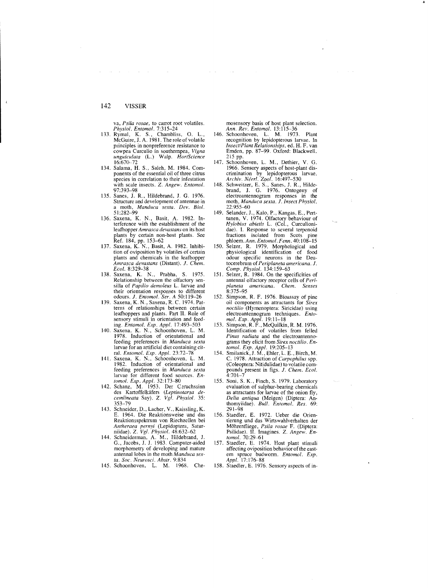va, *Psila rosae,* to carrot root volatiles.

- *Physiol. Entomol.* 7:315–24<br>
133. Rymal, K. S., Chambliss, O. L., McGuire, J. A. 1981. The role of volatile principles in nonpreference resistance to cowpea Curculio in southempea, *Vigna unglliculata* (L.) Walp. *HortScience*  16:670-72
- 134. Salama, H. S., Saleh, M. 1984. Components of the essential oil of three citrus species in correlation to their infestation with scale insects. Z. *Angew. Entomo!.*  97:393-98
- 135. Sanes, J. R., Hildebrand, J. G. 1976. Structure and development of antennae in a moth, *Manduca sexta. Dev. Biol.*  $51:282 - 99$
- 136. Saxena, K. N., Basit, A. 1982. Interference with the establishment of the leafhopper *Amrasca devastans* on its host plants by certain non-host plants. See Ref. 184, pp. 153-62
- 137. Saxena, K. N., Basit, A. 1982. Inhibi tion of oviposition by volatiles of certain plants and chemicals in the leafhopper *Amrasca devastans* (Distant). *J. Chem. Ecol. 8:329-38*
- 138. Saxena, K. N., Prabha, S. 1975. Relationship between the olfactory sensilla of *Papilio demoleus* L larvae and their orientation responses to different odours. *J. Entomol. Ser. A 50:119-26*
- 139. Saxena, K. N., Saxena, R. C. 1974. Patterns of relationships between certain leafhoppers and plants. Part II. Role of sensory stimuli in orientation and feed-
- ing. *Entomo!' Exp. Appl. 17:493-503*  140. Saxena, K. N., Schoonhoven. L. M. 1978. Induction of orientational and feeding preferences in *Manduca sexta* larvae for an artificial diet containing cit-
- ral. *Entomol. Exp. Appl. 23:72-78*  141. Saxena, K. N., Schoonhoven, L. M. 1982. Induction of orientational and<br>feeding preferences in *Manduca sexta*<br>larvae for different food sources. *Entomol. Exp. Appl. 32:173-80*
- 142. Schanz, M. 1953. Der Ceruchssinn des Kartoffelkäfers (Leptinotarsa de*cemlineata* Say). *Z. Vgl. Physiol. 35:*  353-79
- 143. Schneider, D., Lacher, V., Kaissling, K. E. 1964. Die Reaktionsweise und das Reaktionsspektrum von Riechzellen bei *Antheraea pernyi* (Lepidoptera, Satur<br>niidae). Z*. Vgl. Physiol.* 48:632–62
- 144. Schneiderman, A. M., Hildebrand, J. G., Jacobs, J. J. 1983 . Computer-aided morphometry of developing and mature antennal lobes in the moth *Manduca sex-*
- *ta. Soc. Neurosci. Abstr.* 9:834<br>145. Schoonhoven, L. M. 1968. Che

mosensory basis of host plant selection.

- *Ann. Rev. Entomo/. 13:115-36*  146. Schoonhoven. L. M. 1973. Plant recognition by lepidopterous larvae. In *Insect/Plant Relationships,* ed. H. F. van Emden, pp. 87-99. Oxford: Blackwell. 215 pp.
- 147. Schoonhoven, L. M., Dethier, V. G. 1966. Sensory aspects of host-plant dis-crimination by lepidopterous larvae. *Archiv. Neerl. Zool. 16:497-530*
- 148. Schweitzer, E. S., Sanes, J. R., Hilde brand, J. G. 1976. Ontogeny of electroantennogram responses in the moth, *Manduca sexta. J.lnsect Physio/.*  22:955-60
- 149. Selander, J., Kalo, P., Kangas, E., Perttunen, V. 1974. Olfactory behaviour of *Hylobius abietis* L. (Col., Curculionidae). I. Response to several terpenoid fractions isolated from Scots pine phloem. *Ann. Fntomo/. Fenn.* 40: 108-15
- 150. Selzer, R. 1979. Morphological and physiological identification of food odour specific neurons in the Deutocerebrum of *Periplaneta americana. 1. Compo Physiol. 134:159-63*
- 151. Selzer, R. 1984. On the specificities of antennal olfactory receptor cells of *Periplaneta americana. Chon. Senses*  8:375-95
- 152. Simpson, R. F. 1976. Bioassay of pine oil components as attractants for *Sirex /1octilio* (Hymenoptera: Siricidae) using electroantennogram techniques. *Entomol. Exp. Appl. 19:11-18*
- 153. Simpson, R. F., McQuilkin, R. M. 1976. Identification of volatiles from felled *Pinus radiata* and the electroantennograms they elicit from *Sirex noctilio*. En*tomol. Exp. Appl. 19:205-13*
- 154. Smilanick, J. M., Ehler, L. E., Birch, M. C. 1978. Attraction of *Carpophilus* spp. (Coleoptera: Nitidulidae) to volatile compounds present in figs. *J. Chem. Ecol.*  4:701-7
- 155. Soni, S. K., Finch, S. 1979. Laboratory evaluation of sulphur-bearing chemicals as attractants for larvae of the onion fly, *Delia antiqua* (Meigen) (Diptera: Anthomyiidae). *Bull. Entomol. Res. 69:*  291-98
- 156. Staedler, E. 1972. Ueber die Orientierung und das Wirtswahlverhalten der<br>Möhrenfliege, *Psila rosae* F. (Diptera:<br>Psilidae). II. Imagines. Z. A*ngew. Entomol. 70:29-61*
- 157. Staedler, E. 1974. Host plant stimuli affecting oviposition behavior of the eastern spruce budworm. *Filtomol. Exp. Appl.* 17: 176-88
- 158. Staedler, E. 1976. Sensory aspects of in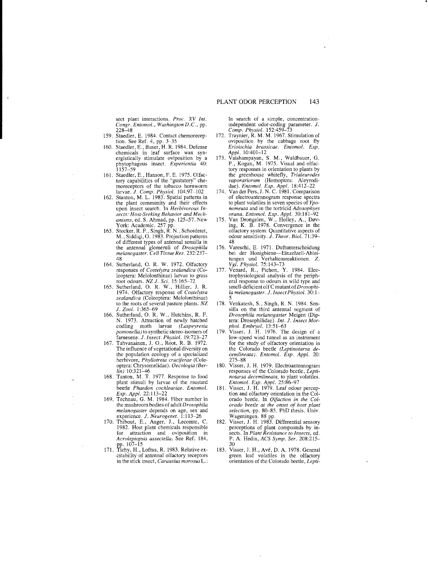sect plant interactions. Proc. XV Int. *Congr. Entomol., WashingtonD.C.,* pp. 228–48

- 159. Staedler, E. 1984. Contact chemoreception. See Ref. 4, pp. 3-35
- 160. Staedler, E., Buser, H. R. 1984. Defense chemicals in leaf surface wax synergistically stimulate oviposition by a phytophagous insect. *Experientia 40:*  1157-59
- 161. Staedler, E., Hanson, F. E. 1975. Olfactory capabilities of the "gustatory" che-moreceptors of the tobacco hom worm
- larvae. *J. Comp. Physiol.* 104:97-102<br>162. Stanton, M. L. 1983. Spatial patterns in the plant community and their effects upon insect search. In *Herbivorous In-sects: Host-Seeking Behavior and Mechanisms,* ed. S. Ahmad, pp. 125-57. New
- York: Academic. 257 pp. 163. Stocker, R. F., Singh, R. N., Schorderet, M., Siddiqi, O. 1983. Projection patterns of different types of antennal sensilla in the antennal glomeruli of *Drosophila melanogaster. Ceil Tissue Res. 232:237*
- 48 164. Sutherland, O. R. W. 1972. Olfactory responses of *Costelytra zealandica* (Coleoptera: Melolonthinae) larvae to grass
- root odours. *NZ J. Sci.* 15:165-72<br>165. Sutherland, O. R. W., Hillier, J. R.<br>1974. Olfactory response of *Costelytra zealandica* (Coleoptera: Melolonthinae) to the roots of several pasture plants. *NZ*
- J. *Zool. 1:365-69*  166. Sutherland, O. R. W., Hutchins, R. F. N. 1973. Attraction of newly hatched codling moth larvae *(Laspeyresia pomoneila)* to synthetic stereo-isomers of farnesene. J. Insect. Physiol. 19:723-
- 167. Tahvanainen, J. O., Root, R. B. 1972. The influence of vegetational diversity on the population ecology of a specialized herbivore, *Phyilotreta cruciferae* (Coleoptera: Chrysomelidae). *Oecologia (Berlin) 10:321-46*
- 168. Tanton, M. T. 1977. Response to food plant stimuli by larvae of the mustard beetle *Phaedon cochleariae. Entomol. Exp. Appl. 22:113-22*
- 169. Technau, G. M. 1984. Fiber number in the mushroom bodies of adult *Drosophila melanogaster* depends on age, sex and
- experience. *J. Neurogenet.* 1:113-26<br>170. Thibout, E., Auger, J., Lecomte, C. 1982. Host plant chemicals responsible<br>for attraction and oviposition in for attraction and oviposition *Acrolepiopsis assectella.* See Ref. 184, pp. 107-15
- **171.** Tichy, H., Loftus, R. 1983. Relative excitability of antennal olfactory receptors in the stick insect, *Carausius morosus* L.:

In search of a simple, concentrationindependent odor-coding parameter. J. *Comp. Physiol. 152:459-73*  ·t

- 172. Traynier, R. M. M. 1967. Stimulation of oviposition by the cabbage root fly *Erioischia brassicae. Entomol. Exp.*
- *Appl. 10:401-12*  173. Vaishampayan, S. M., Waldbauer, G. P., Kogan, M. 1975. Visual and olfactory responses in orientation to plants by the greenhouse whitefly, *Trialeurodes vaporariorum* (Homoptera: Aleyrodi-
- dae). *Entomol. Exp. Appl. 18:412-22*  174. Van der Pers, J. N. C. 1981. Comparison of electroantennogram response spectra to plant volatiles in seven species of *Yponomeuta* and in the *tortricid Adoxophyes*
- *orana. Entomol. Exp. Appl.* 30:181–92<br>
175. Van Drongelen, W., Holley, A., Døv-<br>
ing, K. B. 1978. Convergence in the olfactory system: Quantitative aspects of odour sensitivity. 1. *Theor. BioI. 71:39* 48
- 176. Vareschi, E. 1971. Duftunterscheidung bei der Honigbiene-Einzelzell-Ableitungen und Verhaltensreaktionen. Z. *Vg!. Physiol. 75:143-73*  177. Venard, R., Pichon, Y. 1984. Elec-
- trophysiological analysis of the peripheral response to odours in wild type and smell-deficient olf C mutant of*Drosophila melanogaster.* J. *Insect Physiol.* 30: 1
- 5<br>178. Venkatesh, S., Singh, R. N. 1984. Sen silla on the third antennal segment of *Drosophila melanogaster* Meigen (Dip-tera: Drosophilidae). *Int. J. Insect Mor-*
- *pho!. Embryol. 13:51-63*  179. Visser, J. H. 1976. The design of a low-speed wind tunnel as an instrument for the study of olfactory orientation in the Colorado beetle *(Leptinotarsa decemlineata). Entomo!. Exp. App!. 20:*  275-88
- 180. Visser, J. H. 1979. Electroantennogram responses of the Colorado beetle, *Leptinotarsa decemlineata,* to plant volatiles. *Entomo!. Exp. App!. 25:86-97*
- 181. Visser, J. H. 1979. Leaf odour perception and olfactory orientation in the Colorado beetle. In *Olfaction in the Colorado beetle at the onset of host plant selection,* pp. 80-85. PhD thesis. Univ. Wageningen. 88 pp.
- 182. Visser, J. H. 1983. Differential sensory perceptions of plant compounds by in-sects. In *Plant Resistance to Insects,* ed. P. A. Hedin, *ACS Symp. Ser. 208:215* 30
- 183. Visser, J. H., Ave, D. A. 1978. General green leaf volatiles in the olfactory orientation of the Colorado beetle, *Lepti*